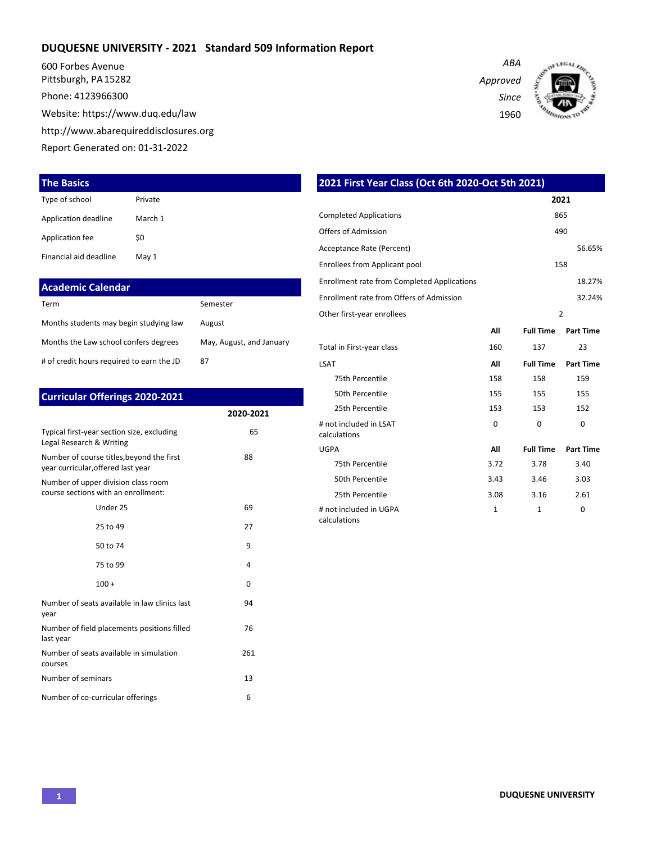## **DUQUESNE UNIVERSITY - 2021 Standard 509 Information Report**

600 Forbes Avenue Pittsburgh, PA 15282 Phone: 4123966300

Website: https://www.duq.edu/law

http://www.abarequireddisclosures.org

Report Generated on: 01-31-2022

## **The Basics**

| Type of school         | Private |
|------------------------|---------|
| Application deadline   | March 1 |
| Application fee        | \$0     |
| Financial aid deadline | May 1   |

| <b>Academic Calendar</b>                  |                          |
|-------------------------------------------|--------------------------|
| Term                                      | Semester                 |
| Months students may begin studying law    | August                   |
| Months the Law school confers degrees     | May, August, and January |
| # of credit hours required to earn the JD | 87                       |

| <b>Curricular Offerings 2020-2021</b>                                           |           |
|---------------------------------------------------------------------------------|-----------|
|                                                                                 | 2020-2021 |
| Typical first-year section size, excluding<br>Legal Research & Writing          | 65        |
| Number of course titles, beyond the first<br>year curricular, offered last year | 88        |
| Number of upper division class room<br>course sections with an enrollment:      |           |
| Under 25                                                                        | 69        |
| 25 to 49                                                                        | 27        |
| 50 to 74                                                                        | 9         |
| 75 to 99                                                                        | 4         |
| $100 +$                                                                         | 0         |
| Number of seats available in law clinics last<br>year                           | 94        |
| Number of field placements positions filled<br>last year                        | 76        |
| Number of seats available in simulation<br>courses                              | 261       |
| Number of seminars                                                              | 13        |
| Number of co-curricular offerings                                               | 6         |

*ABA Approved Since* 1960



| 2021 First Year Class (Oct 6th 2020-Oct 5th 2021)  |              |                  |                  |  |  |  |  |  |  |  |  |  |
|----------------------------------------------------|--------------|------------------|------------------|--|--|--|--|--|--|--|--|--|
|                                                    |              |                  | 2021             |  |  |  |  |  |  |  |  |  |
| <b>Completed Applications</b>                      |              |                  | 865              |  |  |  |  |  |  |  |  |  |
| Offers of Admission                                |              |                  | 490              |  |  |  |  |  |  |  |  |  |
| Acceptance Rate (Percent)                          |              |                  | 56.65%           |  |  |  |  |  |  |  |  |  |
| Enrollees from Applicant pool                      |              |                  | 158              |  |  |  |  |  |  |  |  |  |
| <b>Enrollment rate from Completed Applications</b> |              |                  | 18.27%           |  |  |  |  |  |  |  |  |  |
| Enrollment rate from Offers of Admission           |              |                  | 32.24%           |  |  |  |  |  |  |  |  |  |
| Other first-year enrollees                         |              |                  | $\overline{2}$   |  |  |  |  |  |  |  |  |  |
|                                                    | All          | <b>Full Time</b> | <b>Part Time</b> |  |  |  |  |  |  |  |  |  |
| Total in First-year class                          | 160          | 137              | 23               |  |  |  |  |  |  |  |  |  |
| <b>LSAT</b>                                        | All          | <b>Full Time</b> | <b>Part Time</b> |  |  |  |  |  |  |  |  |  |
| 75th Percentile                                    | 158          | 158              | 159              |  |  |  |  |  |  |  |  |  |
| 50th Percentile                                    | 155          | 155              | 155              |  |  |  |  |  |  |  |  |  |
| 25th Percentile                                    | 153          | 153              | 152              |  |  |  |  |  |  |  |  |  |
| # not included in LSAT<br>calculations             | $\Omega$     | $\Omega$         | $\Omega$         |  |  |  |  |  |  |  |  |  |
| <b>UGPA</b>                                        | All          | <b>Full Time</b> | <b>Part Time</b> |  |  |  |  |  |  |  |  |  |
| 75th Percentile                                    | 3.72         | 3.78             | 3.40             |  |  |  |  |  |  |  |  |  |
| 50th Percentile                                    | 3.43         | 3.46             | 3.03             |  |  |  |  |  |  |  |  |  |
| 25th Percentile                                    | 3.08         | 3.16             | 2.61             |  |  |  |  |  |  |  |  |  |
| # not included in UGPA<br>calculations             | $\mathbf{1}$ | $\mathbf{1}$     | 0                |  |  |  |  |  |  |  |  |  |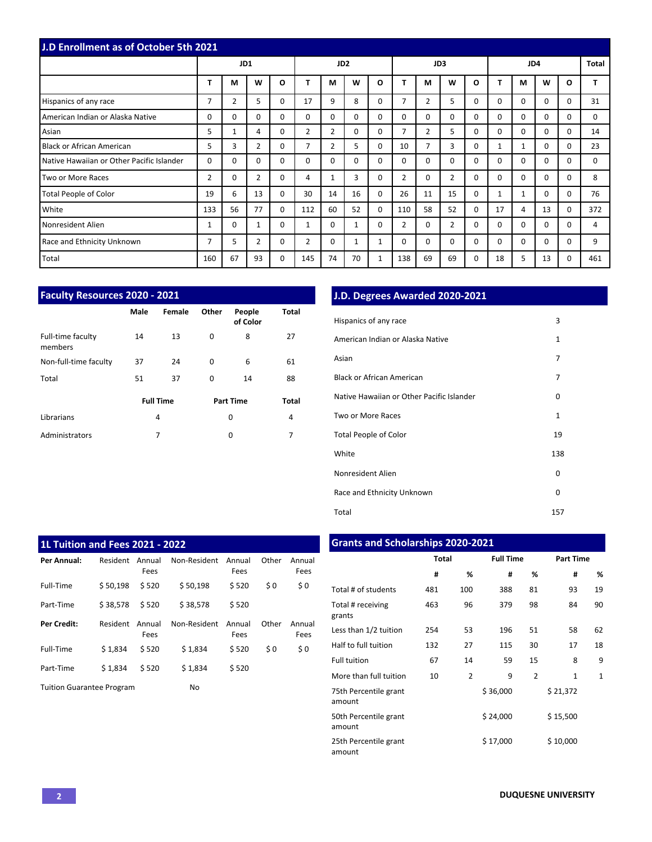|                                           | <b>J.D Enrollment as of October 5th 2021</b> |              |          |              |                |                 |          |          |                |                |                |          |          |              |          |              |          |
|-------------------------------------------|----------------------------------------------|--------------|----------|--------------|----------------|-----------------|----------|----------|----------------|----------------|----------------|----------|----------|--------------|----------|--------------|----------|
|                                           |                                              | JD1          |          |              |                | JD <sub>2</sub> |          |          |                |                | JD3            |          | JD4      |              |          |              | Total    |
|                                           | т                                            | M            | W        | $\mathbf{o}$ |                | M               | W        | O        |                | М              | W              | $\Omega$ | т        | М            | W        | $\mathbf{o}$ |          |
| Hispanics of any race                     | $\overline{7}$                               | 2            | 5        | 0            | 17             | 9               | 8        | $\Omega$ | 7              | 2              | 5              | $\Omega$ | $\Omega$ | $\Omega$     | $\Omega$ | $\Omega$     | 31       |
| American Indian or Alaska Native          | $\Omega$                                     | $\Omega$     | 0        | $\Omega$     | $\Omega$       | $\Omega$        | $\Omega$ | $\Omega$ | $\Omega$       | $\Omega$       | $\Omega$       | $\Omega$ | $\Omega$ | $\Omega$     | $\Omega$ | $\Omega$     | 0        |
| Asian                                     | 5                                            | $\mathbf{1}$ | 4        | $\Omega$     | $\overline{2}$ | $\overline{2}$  | $\Omega$ | $\Omega$ | $\overline{7}$ | $\overline{2}$ | 5              | $\Omega$ | $\Omega$ | $\Omega$     | $\Omega$ | $\Omega$     | 14       |
| Black or African American                 | 5                                            | 3            | 2        | $\Omega$     | 7              | $\overline{2}$  | 5        | $\Omega$ | 10             | 7              | 3              | $\Omega$ | 1        | 1            | $\Omega$ | $\Omega$     | 23       |
| Native Hawaiian or Other Pacific Islander | 0                                            | $\Omega$     | $\Omega$ | 0            | $\Omega$       | $\Omega$        | $\Omega$ | $\Omega$ | 0              | 0              | $\mathbf 0$    | $\Omega$ | $\Omega$ | $\Omega$     | $\Omega$ | $\Omega$     | $\Omega$ |
| Two or More Races                         | 2                                            | $\Omega$     | 2        | 0            | 4              | $\mathbf{1}$    | 3        | $\Omega$ | 2              | 0              | $\overline{2}$ | $\Omega$ | $\Omega$ | $\Omega$     | $\Omega$ | $\Omega$     | 8        |
| Total People of Color                     | 19                                           | 6            | 13       | $\Omega$     | 30             | 14              | 16       | $\Omega$ | 26             | 11             | 15             | 0        | 1        | $\mathbf{1}$ | $\Omega$ | $\Omega$     | 76       |
| White                                     | 133                                          | 56           | 77       | $\Omega$     | 112            | 60              | 52       | $\Omega$ | 110            | 58             | 52             | $\Omega$ | 17       | 4            | 13       | $\Omega$     | 372      |
| Nonresident Alien                         | 1                                            | $\Omega$     | 1        | $\Omega$     | $\mathbf{1}$   | $\Omega$        | 1        | $\Omega$ | 2              | 0              | $\overline{2}$ | $\Omega$ | $\Omega$ | $\Omega$     | $\Omega$ | $\Omega$     | 4        |
| Race and Ethnicity Unknown                | 7                                            | 5            | 2        | 0            | 2              | $\Omega$        | 1        | 1        | 0              | $\Omega$       | $\mathbf 0$    | 0        | 0        | $\Omega$     | $\Omega$ | $\Omega$     | 9        |
| Total                                     | 160                                          | 67           | 93       | 0            | 145            | 74              | 70       | 1        | 138            | 69             | 69             | 0        | 18       | 5            | 13       | $\Omega$     | 461      |

| <b>Faculty Resources 2020 - 2021</b> |      |                  |          |                    |              |
|--------------------------------------|------|------------------|----------|--------------------|--------------|
|                                      | Male | Female           | Other    | People<br>of Color | Total        |
| Full-time faculty<br>members         | 14   | 13               | $\Omega$ | 8                  | 27           |
| Non-full-time faculty                | 37   | 24               | $\Omega$ | 6                  | 61           |
| Total                                | 51   | 37               | $\Omega$ | 14                 | 88           |
|                                      |      | <b>Full Time</b> |          | <b>Part Time</b>   | <b>Total</b> |
| Librarians                           |      | 4                |          | 0                  | 4            |
| Administrators                       |      | 7                |          | 0                  | 7            |

## **J.D. Degrees Awarded 2020-2021**

| Hispanics of any race                     | 3   |
|-------------------------------------------|-----|
| American Indian or Alaska Native          | 1   |
| Asian                                     | 7   |
| <b>Black or African American</b>          | 7   |
| Native Hawaiian or Other Pacific Islander | 0   |
| Two or More Races                         | 1   |
| <b>Total People of Color</b>              | 19  |
| White                                     | 138 |
| Nonresident Alien                         | 0   |
| Race and Ethnicity Unknown                | 0   |
| Total                                     | 157 |

| <b>1L Tuition and Fees 2021 - 2022</b> |          |                |              |                |       |                |
|----------------------------------------|----------|----------------|--------------|----------------|-------|----------------|
| Per Annual:                            | Resident | Annual<br>Fees | Non-Resident | Annual<br>Fees | Other | Annual<br>Fees |
| Full-Time                              | \$50,198 | \$520          | \$50.198     | \$520          | \$0   | \$0            |
| Part-Time                              | \$38.578 | \$520          | \$38.578     | \$520          |       |                |
| Per Credit:                            | Resident | Annual<br>Fees | Non-Resident | Annual<br>Fees | Other | Annual<br>Fees |
| Full-Time                              | \$1.834  | \$520          | \$1.834      | \$520          | \$0   | \$0            |
| Part-Time                              | \$1.834  | \$520          | \$1,834      | \$520          |       |                |
| <b>Tuition Guarantee Program</b>       |          |                | No           |                |       |                |

| <b>Grants and Scholarships 2020-2021</b> |       |                |                  |                |                  |              |  |  |  |  |  |  |  |  |
|------------------------------------------|-------|----------------|------------------|----------------|------------------|--------------|--|--|--|--|--|--|--|--|
|                                          | Total |                | <b>Full Time</b> |                | <b>Part Time</b> |              |  |  |  |  |  |  |  |  |
|                                          | #     | %              | #                | %              | #                | %            |  |  |  |  |  |  |  |  |
| Total # of students                      | 481   | 100            | 388              | 81             | 93               | 19           |  |  |  |  |  |  |  |  |
| Total # receiving<br>grants              | 463   | 96             | 379              | 98             | 84               | 90           |  |  |  |  |  |  |  |  |
| Less than 1/2 tuition                    | 254   | 53             | 196              | 51             | 58               | 62           |  |  |  |  |  |  |  |  |
| Half to full tuition                     | 132   | 27             | 115              | 30             | 17               | 18           |  |  |  |  |  |  |  |  |
| <b>Full tuition</b>                      | 67    | 14             | 59               | 15             | 8                | 9            |  |  |  |  |  |  |  |  |
| More than full tuition                   | 10    | $\overline{2}$ | 9                | $\overline{2}$ | $\mathbf{1}$     | $\mathbf{1}$ |  |  |  |  |  |  |  |  |
| 75th Percentile grant<br>amount          |       |                | \$36,000         |                | \$21,372         |              |  |  |  |  |  |  |  |  |
| 50th Percentile grant<br>amount          |       |                | \$24,000         |                | \$15,500         |              |  |  |  |  |  |  |  |  |
| 25th Percentile grant<br>amount          |       |                | \$17,000         |                | \$10,000         |              |  |  |  |  |  |  |  |  |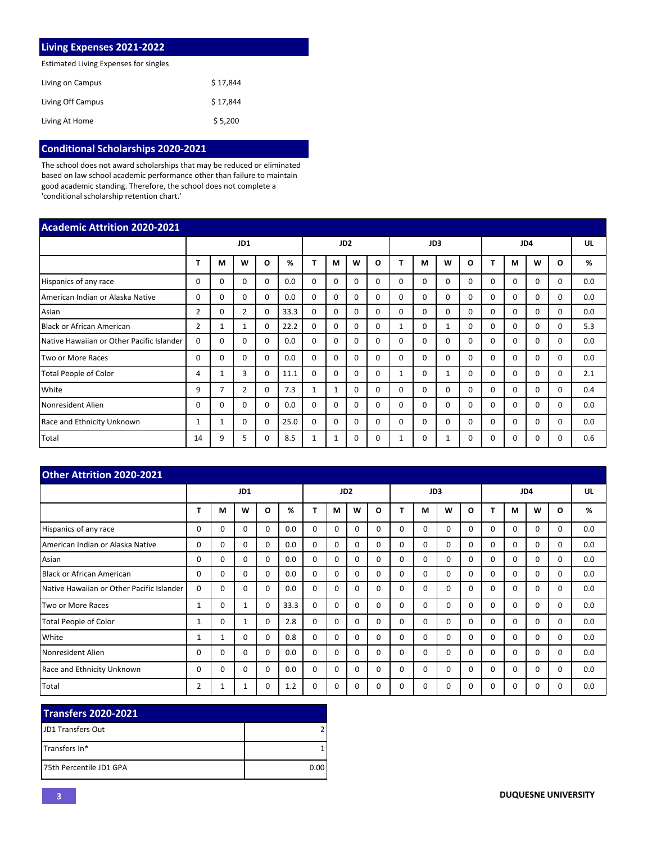| <b>Living Expenses 2021-2022</b>      |          |
|---------------------------------------|----------|
| Estimated Living Expenses for singles |          |
| Living on Campus                      | \$17.844 |
| Living Off Campus                     | \$17.844 |
| Living At Home                        | \$5.200  |

## **Conditional Scholarships 2020-2021**

The school does not award scholarships that may be reduced or eliminated based on law school academic performance other than failure to maintain good academic standing. Therefore, the school does not complete a 'conditional scholarship retention chart.'

| <b>Academic Attrition 2020-2021</b>       |          |                |                |          |      |                 |              |          |          |          |          |              |              |          |          |          |          |     |
|-------------------------------------------|----------|----------------|----------------|----------|------|-----------------|--------------|----------|----------|----------|----------|--------------|--------------|----------|----------|----------|----------|-----|
|                                           |          | JD1            |                |          |      | JD <sub>2</sub> |              |          |          | JD3      |          |              | JD4          |          |          |          | UL       |     |
|                                           |          | M              | W              | O        | %    | т               | М            | w        | O        | т        | м        | W            | Ω            | т        | M        | W        | O        | %   |
| Hispanics of any race                     | 0        | 0              | $\Omega$       | 0        | 0.0  | 0               | $\Omega$     | 0        | $\Omega$ | $\Omega$ | $\Omega$ | $\Omega$     | 0            | $\Omega$ | $\Omega$ | 0        | $\Omega$ | 0.0 |
| American Indian or Alaska Native          | 0        | 0              | $\Omega$       | 0        | 0.0  | 0               | 0            | 0        | $\Omega$ | $\Omega$ | 0        | $\Omega$     | $\mathbf{0}$ | 0        | 0        | $\Omega$ | $\Omega$ | 0.0 |
| Asian                                     | 2        | 0              | $\overline{2}$ | 0        | 33.3 | $\mathbf 0$     | $\Omega$     | 0        | $\Omega$ | $\Omega$ | $\Omega$ | $\Omega$     | $\Omega$     | $\Omega$ | $\Omega$ | 0        | 0        | 0.0 |
| <b>Black or African American</b>          | 2        | 1              | $\mathbf{1}$   | $\Omega$ | 22.2 | $\mathbf 0$     | $\Omega$     | $\Omega$ | $\Omega$ |          | $\Omega$ | 1            | $\Omega$     | $\Omega$ | $\Omega$ | $\Omega$ | $\Omega$ | 5.3 |
| Native Hawaiian or Other Pacific Islander | $\Omega$ | 0              | $\Omega$       | $\Omega$ | 0.0  | $\Omega$        | $\Omega$     | $\Omega$ | $\Omega$ | $\Omega$ | $\Omega$ | $\Omega$     | $\Omega$     | $\Omega$ | $\Omega$ | 0        | $\Omega$ | 0.0 |
| Two or More Races                         | 0        | 0              | $\Omega$       | $\Omega$ | 0.0  | $\mathbf 0$     | $\Omega$     | 0        | $\Omega$ | $\Omega$ | $\Omega$ | $\Omega$     | 0            | $\Omega$ | $\Omega$ | $\Omega$ | $\Omega$ | 0.0 |
| <b>Total People of Color</b>              | 4        | 1              | 3              | 0        | 11.1 | $\Omega$        | $\Omega$     | $\Omega$ | 0        |          | $\Omega$ | 1            | 0            | $\Omega$ | 0        | 0        | 0        | 2.1 |
| White                                     | 9        | $\overline{7}$ | $\overline{2}$ | 0        | 7.3  | 1               | $\mathbf{1}$ | 0        | $\Omega$ | $\Omega$ | $\Omega$ | $\mathbf{0}$ | 0            | $\Omega$ | $\Omega$ | 0        | 0        | 0.4 |
| Nonresident Alien                         | 0        | 0              | $\Omega$       | 0        | 0.0  | $\Omega$        | 0            | 0        | 0        | $\Omega$ | $\Omega$ | 0            | <sup>0</sup> | $\Omega$ | 0        | 0        | 0        | 0.0 |
| Race and Ethnicity Unknown                | 1        |                | $\Omega$       | 0        | 25.0 | $\mathbf 0$     | 0            | 0        | $\Omega$ | $\Omega$ | $\Omega$ | $\Omega$     | 0            | $\Omega$ | $\Omega$ | 0        | $\Omega$ | 0.0 |
| Total                                     | 14       | 9              | 5              | 0        | 8.5  | 1               |              | $\Omega$ | 0        |          | 0        |              |              | 0        | 0        | 0        | $\Omega$ | 0.6 |

| <b>Other Attrition 2020-2021</b>          |                |          |              |          |      |                 |          |          |          |          |          |          |          |          |          |          |          |     |
|-------------------------------------------|----------------|----------|--------------|----------|------|-----------------|----------|----------|----------|----------|----------|----------|----------|----------|----------|----------|----------|-----|
|                                           |                | JD1      |              |          |      | JD <sub>2</sub> |          |          |          | JD3      |          |          |          | UL       |          |          |          |     |
|                                           | т              | М        | W            | O        | %    | т               | M        | W        | O        |          | М        | W        | $\Omega$ |          | М        | W        | O        | %   |
| Hispanics of any race                     | $\Omega$       | $\Omega$ | $\Omega$     | 0        | 0.0  | $\Omega$        | $\Omega$ | $\Omega$ | $\Omega$ | $\Omega$ | $\Omega$ | $\Omega$ | $\Omega$ | $\Omega$ | $\Omega$ | $\Omega$ | $\Omega$ | 0.0 |
| American Indian or Alaska Native          | $\Omega$       | $\Omega$ | $\Omega$     | 0        | 0.0  | $\Omega$        | $\Omega$ | $\Omega$ | $\Omega$ | $\Omega$ | $\Omega$ | $\Omega$ | 0        | $\Omega$ | $\Omega$ | $\Omega$ | $\Omega$ | 0.0 |
| Asian                                     | 0              | 0        | $\Omega$     | 0        | 0.0  | $\mathbf 0$     | 0        | $\Omega$ | $\Omega$ | $\Omega$ | $\Omega$ | $\Omega$ | $\Omega$ | $\Omega$ | $\Omega$ | $\Omega$ | $\Omega$ | 0.0 |
| Black or African American                 | 0              | $\Omega$ | 0            | $\Omega$ | 0.0  | $\Omega$        | $\Omega$ | 0        | $\Omega$ | $\Omega$ | $\Omega$ | $\Omega$ | $\Omega$ | $\Omega$ | $\Omega$ | $\Omega$ | $\Omega$ | 0.0 |
| Native Hawaiian or Other Pacific Islander | 0              | $\Omega$ | $\Omega$     | 0        | 0.0  | $\mathbf 0$     | 0        | 0        | $\Omega$ | $\Omega$ | $\Omega$ | $\Omega$ | 0        | $\Omega$ | $\Omega$ | 0        | $\Omega$ | 0.0 |
| Two or More Races                         | 1              | $\Omega$ | 1            | $\Omega$ | 33.3 | $\Omega$        | $\Omega$ | 0        | $\Omega$ | $\Omega$ | $\Omega$ | $\Omega$ | $\Omega$ | $\Omega$ | $\Omega$ | $\Omega$ | $\Omega$ | 0.0 |
| Total People of Color                     | 1              | $\Omega$ | $\mathbf{1}$ | $\Omega$ | 2.8  | $\mathbf 0$     | $\Omega$ | $\Omega$ | $\Omega$ | $\Omega$ | $\Omega$ | $\Omega$ | $\Omega$ | $\Omega$ | $\Omega$ | $\Omega$ | $\Omega$ | 0.0 |
| White                                     | 1              | 1        | 0            | 0        | 0.8  | $\mathbf 0$     | 0        | $\Omega$ | 0        | 0        | 0        | 0        | 0        | 0        | $\Omega$ | 0        | 0        | 0.0 |
| Nonresident Alien                         | 0              | $\Omega$ | $\Omega$     | $\Omega$ | 0.0  | $\Omega$        | 0        | 0        | $\Omega$ | $\Omega$ | $\Omega$ | $\Omega$ | 0        | $\Omega$ | $\Omega$ | $\Omega$ | $\Omega$ | 0.0 |
| Race and Ethnicity Unknown                | $\Omega$       | $\Omega$ | $\Omega$     | $\Omega$ | 0.0  | $\mathbf 0$     | $\Omega$ | $\Omega$ | $\Omega$ | $\Omega$ | $\Omega$ | $\Omega$ | $\Omega$ | $\Omega$ | $\Omega$ | $\Omega$ | $\Omega$ | 0.0 |
| <b>Total</b>                              | $\overline{2}$ | 1        |              | 0        | 1.2  | 0               | $\Omega$ | 0        | $\Omega$ | $\Omega$ | $\Omega$ | 0        | 0        | 0        | $\Omega$ | $\Omega$ | $\Omega$ | 0.0 |

| <b>Transfers 2020-2021</b> |      |
|----------------------------|------|
| <b>IJD1 Transfers Out</b>  |      |
| <b>ITransfers In*</b>      |      |
| 175th Percentile JD1 GPA   | 0.00 |